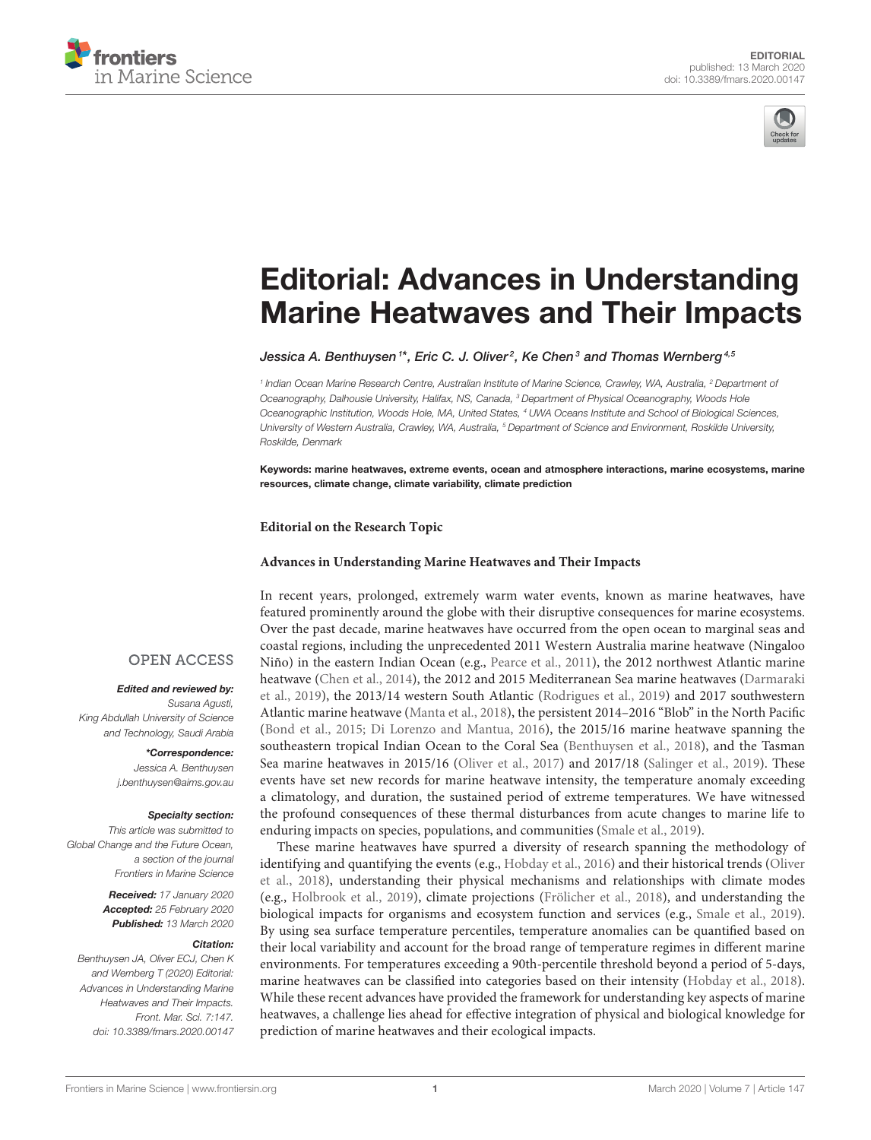



# Editorial: Advances in Understanding [Marine Heatwaves and Their Impacts](https://www.frontiersin.org/articles/10.3389/fmars.2020.00147/full)

[Jessica A. Benthuysen](http://loop.frontiersin.org/people/540877/overview)  $^{\text{\tiny{1}*}}$ , [Eric C. J. Oliver](http://loop.frontiersin.org/people/477198/overview) $^{\text{\tiny{2}}}$ , [Ke Chen](http://loop.frontiersin.org/people/541248/overview) $^{\text{\tiny{3}}}$  and [Thomas Wernberg](http://loop.frontiersin.org/people/139805/overview) $^{\text{\tiny{4,5}}}$ 

*1 Indian Ocean Marine Research Centre, Australian Institute of Marine Science, Crawley, WA, Australia, <sup>2</sup> Department of Oceanography, Dalhousie University, Halifax, NS, Canada, <sup>3</sup> Department of Physical Oceanography, Woods Hole Oceanographic Institution, Woods Hole, MA, United States, <sup>4</sup> UWA Oceans Institute and School of Biological Sciences, University of Western Australia, Crawley, WA, Australia, <sup>5</sup> Department of Science and Environment, Roskilde University, Roskilde, Denmark*

Keywords: marine heatwaves, extreme events, ocean and atmosphere interactions, marine ecosystems, marine resources, climate change, climate variability, climate prediction

**Editorial on the Research Topic**

#### **[Advances in Understanding Marine Heatwaves and Their Impacts](https://www.frontiersin.org/research-topics/7980/advances-in-understanding-marine-heatwaves-and-their-impacts)**

In recent years, prolonged, extremely warm water events, known as marine heatwaves, have featured prominently around the globe with their disruptive consequences for marine ecosystems. Over the past decade, marine heatwaves have occurred from the open ocean to marginal seas and coastal regions, including the unprecedented 2011 Western Australia marine heatwave (Ningaloo Niño) in the eastern Indian Ocean (e.g., [Pearce et al., 2011\)](#page-3-0), the 2012 northwest Atlantic marine heatwave [\(Chen et al., 2014\)](#page-3-1), the 2012 and 2015 Mediterranean Sea marine heatwaves (Darmaraki et al., [2019\)](#page-3-2), the 2013/14 western South Atlantic [\(Rodrigues et al., 2019\)](#page-3-3) and 2017 southwestern Atlantic marine heatwave [\(Manta et al., 2018\)](#page-3-4), the persistent 2014–2016 "Blob" in the North Pacific [\(Bond et al., 2015;](#page-3-5) [Di Lorenzo and Mantua, 2016\)](#page-3-6), the 2015/16 marine heatwave spanning the southeastern tropical Indian Ocean to the Coral Sea [\(Benthuysen et al., 2018\)](#page-3-7), and the Tasman Sea marine heatwaves in 2015/16 [\(Oliver et al., 2017\)](#page-3-8) and 2017/18 [\(Salinger et al., 2019\)](#page-3-9). These events have set new records for marine heatwave intensity, the temperature anomaly exceeding a climatology, and duration, the sustained period of extreme temperatures. We have witnessed the profound consequences of these thermal disturbances from acute changes to marine life to enduring impacts on species, populations, and communities [\(Smale et al., 2019\)](#page-3-10).

These marine heatwaves have spurred a diversity of research spanning the methodology of identifying and quantifying the events (e.g., [Hobday et al., 2016\)](#page-3-11) and their historical trends (Oliver et al., [2018\)](#page-3-12), understanding their physical mechanisms and relationships with climate modes (e.g., [Holbrook et al., 2019\)](#page-3-13), climate projections [\(Frölicher et al., 2018\)](#page-3-14), and understanding the biological impacts for organisms and ecosystem function and services (e.g., [Smale et al., 2019\)](#page-3-10). By using sea surface temperature percentiles, temperature anomalies can be quantified based on their local variability and account for the broad range of temperature regimes in different marine environments. For temperatures exceeding a 90th-percentile threshold beyond a period of 5-days, marine heatwaves can be classified into categories based on their intensity [\(Hobday et al., 2018\)](#page-3-15). While these recent advances have provided the framework for understanding key aspects of marine heatwaves, a challenge lies ahead for effective integration of physical and biological knowledge for prediction of marine heatwaves and their ecological impacts.

#### **OPEN ACCESS**

#### Edited and reviewed by:

*Susana Agusti, King Abdullah University of Science and Technology, Saudi Arabia*

> \*Correspondence: *Jessica A. Benthuysen [j.benthuysen@aims.gov.au](mailto:j.benthuysen@aims.gov.au)*

#### Specialty section:

*This article was submitted to Global Change and the Future Ocean, a section of the journal Frontiers in Marine Science*

> Received: *17 January 2020* Accepted: *25 February 2020* Published: *13 March 2020*

#### Citation:

*Benthuysen JA, Oliver ECJ, Chen K and Wernberg T (2020) Editorial: Advances in Understanding Marine Heatwaves and Their Impacts. Front. Mar. Sci. 7:147. doi: [10.3389/fmars.2020.00147](https://doi.org/10.3389/fmars.2020.00147)*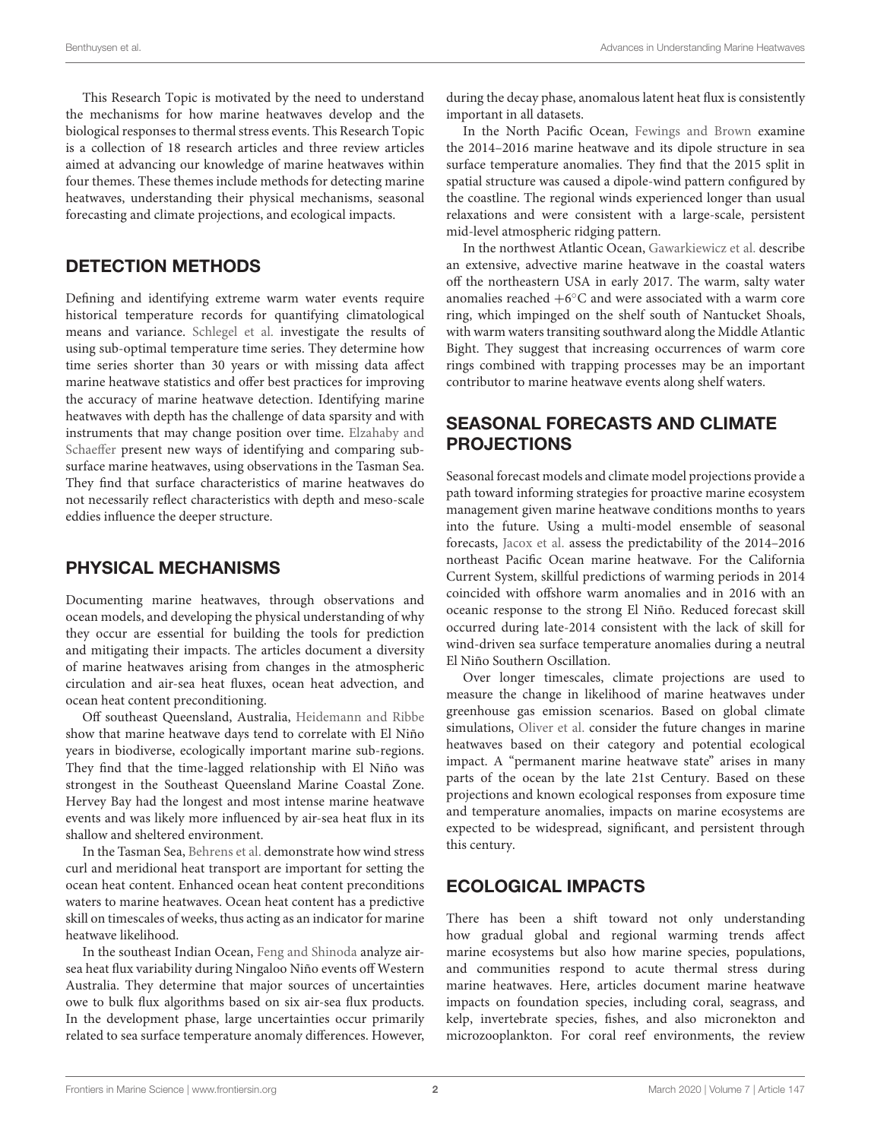This Research Topic is motivated by the need to understand the mechanisms for how marine heatwaves develop and the biological responses to thermal stress events. This Research Topic is a collection of 18 research articles and three review articles aimed at advancing our knowledge of marine heatwaves within four themes. These themes include methods for detecting marine heatwaves, understanding their physical mechanisms, seasonal forecasting and climate projections, and ecological impacts.

## DETECTION METHODS

Defining and identifying extreme warm water events require historical temperature records for quantifying climatological means and variance. [Schlegel et al.](https://doi.org/10.3389/fmars.2019.00737) investigate the results of using sub-optimal temperature time series. They determine how time series shorter than 30 years or with missing data affect marine heatwave statistics and offer best practices for improving the accuracy of marine heatwave detection. Identifying marine heatwaves with depth has the challenge of data sparsity and with instruments that may change position over time. Elzahaby and Schaeffer [present new ways of identifying and comparing sub](https://doi.org/10.3389/fmars.2019.00745)surface marine heatwaves, using observations in the Tasman Sea. They find that surface characteristics of marine heatwaves do not necessarily reflect characteristics with depth and meso-scale eddies influence the deeper structure.

#### PHYSICAL MECHANISMS

Documenting marine heatwaves, through observations and ocean models, and developing the physical understanding of why they occur are essential for building the tools for prediction and mitigating their impacts. The articles document a diversity of marine heatwaves arising from changes in the atmospheric circulation and air-sea heat fluxes, ocean heat advection, and ocean heat content preconditioning.

Off southeast Queensland, Australia, [Heidemann and Ribbe](https://doi.org/10.3389/fmars.2019.00056) show that marine heatwave days tend to correlate with El Niño years in biodiverse, ecologically important marine sub-regions. They find that the time-lagged relationship with El Niño was strongest in the Southeast Queensland Marine Coastal Zone. Hervey Bay had the longest and most intense marine heatwave events and was likely more influenced by air-sea heat flux in its shallow and sheltered environment.

In the Tasman Sea, [Behrens et al.](https://doi.org/10.3389/fmars.2019.00228) demonstrate how wind stress curl and meridional heat transport are important for setting the ocean heat content. Enhanced ocean heat content preconditions waters to marine heatwaves. Ocean heat content has a predictive skill on timescales of weeks, thus acting as an indicator for marine heatwave likelihood.

In the southeast Indian Ocean, [Feng and Shinoda](https://doi.org/10.3389/fmars.2019.00266) analyze airsea heat flux variability during Ningaloo Niño events off Western Australia. They determine that major sources of uncertainties owe to bulk flux algorithms based on six air-sea flux products. In the development phase, large uncertainties occur primarily related to sea surface temperature anomaly differences. However, during the decay phase, anomalous latent heat flux is consistently important in all datasets.

In the North Pacific Ocean, [Fewings and Brown](https://doi.org/10.3389/fmars.2019.00564) examine the 2014–2016 marine heatwave and its dipole structure in sea surface temperature anomalies. They find that the 2015 split in spatial structure was caused a dipole-wind pattern configured by the coastline. The regional winds experienced longer than usual relaxations and were consistent with a large-scale, persistent mid-level atmospheric ridging pattern.

In the northwest Atlantic Ocean, [Gawarkiewicz et al.](https://doi.org/10.3389/fmars.2019.00712) describe an extensive, advective marine heatwave in the coastal waters off the northeastern USA in early 2017. The warm, salty water anomalies reached  $+6^{\circ}$ C and were associated with a warm core ring, which impinged on the shelf south of Nantucket Shoals, with warm waters transiting southward along the Middle Atlantic Bight. They suggest that increasing occurrences of warm core rings combined with trapping processes may be an important contributor to marine heatwave events along shelf waters.

#### SEASONAL FORECASTS AND CLIMATE **PROJECTIONS**

Seasonal forecast models and climate model projections provide a path toward informing strategies for proactive marine ecosystem management given marine heatwave conditions months to years into the future. Using a multi-model ensemble of seasonal forecasts, [Jacox et al.](https://doi.org/10.3389/fmars.2019.00497) assess the predictability of the 2014–2016 northeast Pacific Ocean marine heatwave. For the California Current System, skillful predictions of warming periods in 2014 coincided with offshore warm anomalies and in 2016 with an oceanic response to the strong El Niño. Reduced forecast skill occurred during late-2014 consistent with the lack of skill for wind-driven sea surface temperature anomalies during a neutral El Niño Southern Oscillation.

Over longer timescales, climate projections are used to measure the change in likelihood of marine heatwaves under greenhouse gas emission scenarios. Based on global climate simulations, [Oliver et al.](https://doi.org/10.3389/fmars.2019.00734) consider the future changes in marine heatwaves based on their category and potential ecological impact. A "permanent marine heatwave state" arises in many parts of the ocean by the late 21st Century. Based on these projections and known ecological responses from exposure time and temperature anomalies, impacts on marine ecosystems are expected to be widespread, significant, and persistent through this century.

#### ECOLOGICAL IMPACTS

There has been a shift toward not only understanding how gradual global and regional warming trends affect marine ecosystems but also how marine species, populations, and communities respond to acute thermal stress during marine heatwaves. Here, articles document marine heatwave impacts on foundation species, including coral, seagrass, and kelp, invertebrate species, fishes, and also micronekton and microzooplankton. For coral reef environments, the review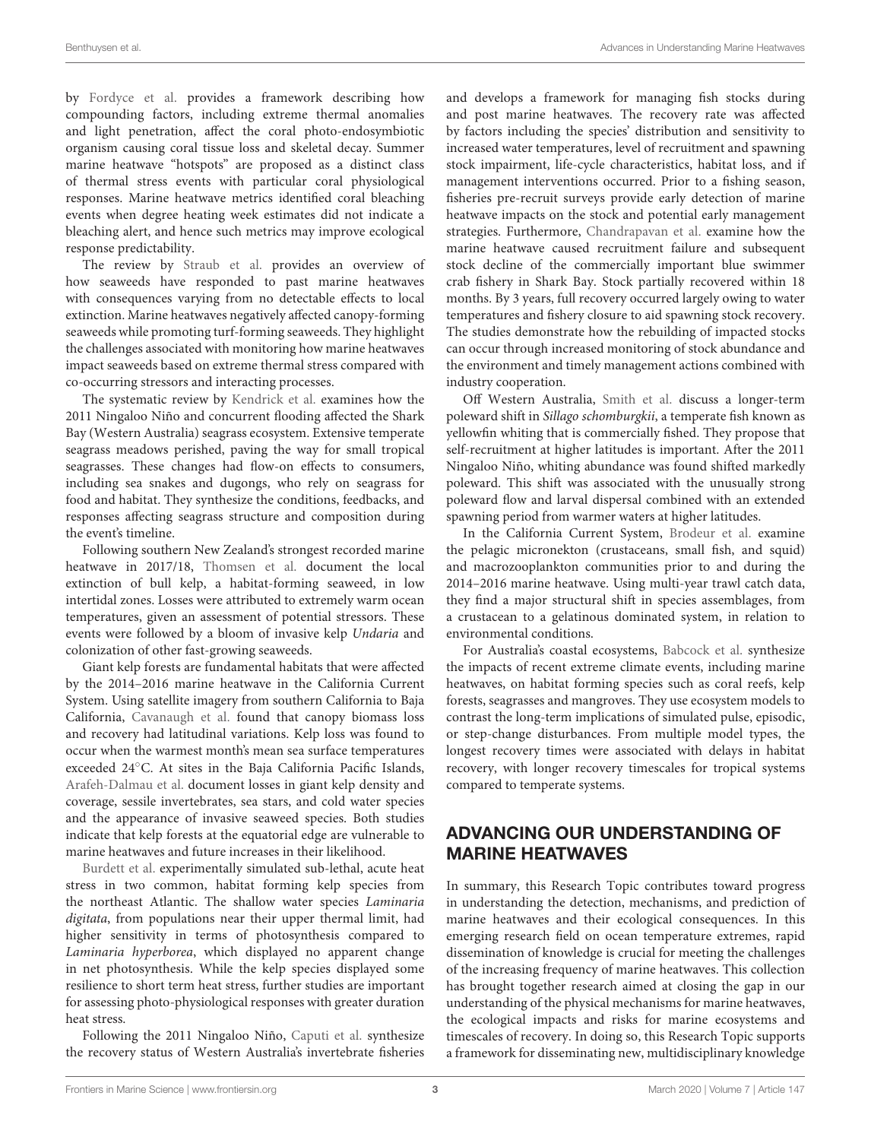by [Fordyce et al.](https://doi.org/10.3389/fmars.2019.00498) provides a framework describing how compounding factors, including extreme thermal anomalies and light penetration, affect the coral photo-endosymbiotic organism causing coral tissue loss and skeletal decay. Summer marine heatwave "hotspots" are proposed as a distinct class of thermal stress events with particular coral physiological responses. Marine heatwave metrics identified coral bleaching events when degree heating week estimates did not indicate a bleaching alert, and hence such metrics may improve ecological response predictability.

The review by [Straub et al.](https://doi.org/10.3389/fmars.2019.00763) provides an overview of how seaweeds have responded to past marine heatwaves with consequences varying from no detectable effects to local extinction. Marine heatwaves negatively affected canopy-forming seaweeds while promoting turf-forming seaweeds. They highlight the challenges associated with monitoring how marine heatwaves impact seaweeds based on extreme thermal stress compared with co-occurring stressors and interacting processes.

The systematic review by [Kendrick et al.](https://doi.org/10.3389/fmars.2019.00455) examines how the 2011 Ningaloo Niño and concurrent flooding affected the Shark Bay (Western Australia) seagrass ecosystem. Extensive temperate seagrass meadows perished, paving the way for small tropical seagrasses. These changes had flow-on effects to consumers, including sea snakes and dugongs, who rely on seagrass for food and habitat. They synthesize the conditions, feedbacks, and responses affecting seagrass structure and composition during the event's timeline.

Following southern New Zealand's strongest recorded marine heatwave in 2017/18, [Thomsen et al.](https://doi.org/10.3389/fmars.2019.00084) document the local extinction of bull kelp, a habitat-forming seaweed, in low intertidal zones. Losses were attributed to extremely warm ocean temperatures, given an assessment of potential stressors. These events were followed by a bloom of invasive kelp Undaria and colonization of other fast-growing seaweeds.

Giant kelp forests are fundamental habitats that were affected by the 2014–2016 marine heatwave in the California Current System. Using satellite imagery from southern California to Baja California, [Cavanaugh et al.](https://doi.org/10.3389/fmars.2019.00413) found that canopy biomass loss and recovery had latitudinal variations. Kelp loss was found to occur when the warmest month's mean sea surface temperatures exceeded 24◦C. At sites in the Baja California Pacific Islands, [Arafeh-Dalmau et al.](https://doi.org/10.3389/fmars.2019.00499) document losses in giant kelp density and coverage, sessile invertebrates, sea stars, and cold water species and the appearance of invasive seaweed species. Both studies indicate that kelp forests at the equatorial edge are vulnerable to marine heatwaves and future increases in their likelihood.

[Burdett et al.](https://doi.org/10.3389/fmars.2019.00516) experimentally simulated sub-lethal, acute heat stress in two common, habitat forming kelp species from the northeast Atlantic. The shallow water species Laminaria digitata, from populations near their upper thermal limit, had higher sensitivity in terms of photosynthesis compared to Laminaria hyperborea, which displayed no apparent change in net photosynthesis. While the kelp species displayed some resilience to short term heat stress, further studies are important for assessing photo-physiological responses with greater duration heat stress.

Following the 2011 Ningaloo Niño, [Caputi et al.](https://doi.org/10.3389/fmars.2019.00484) synthesize the recovery status of Western Australia's invertebrate fisheries and develops a framework for managing fish stocks during and post marine heatwaves. The recovery rate was affected by factors including the species' distribution and sensitivity to increased water temperatures, level of recruitment and spawning stock impairment, life-cycle characteristics, habitat loss, and if management interventions occurred. Prior to a fishing season, fisheries pre-recruit surveys provide early detection of marine heatwave impacts on the stock and potential early management strategies. Furthermore, [Chandrapavan et al.](https://doi.org/10.3389/fmars.2019.00510) examine how the marine heatwave caused recruitment failure and subsequent stock decline of the commercially important blue swimmer crab fishery in Shark Bay. Stock partially recovered within 18 months. By 3 years, full recovery occurred largely owing to water temperatures and fishery closure to aid spawning stock recovery. The studies demonstrate how the rebuilding of impacted stocks can occur through increased monitoring of stock abundance and the environment and timely management actions combined with industry cooperation.

Off Western Australia, [Smith et al.](https://doi.org/10.3389/fmars.2019.00407) discuss a longer-term poleward shift in Sillago schomburgkii, a temperate fish known as yellowfin whiting that is commercially fished. They propose that self-recruitment at higher latitudes is important. After the 2011 Ningaloo Niño, whiting abundance was found shifted markedly poleward. This shift was associated with the unusually strong poleward flow and larval dispersal combined with an extended spawning period from warmer waters at higher latitudes.

In the California Current System, [Brodeur et al.](https://doi.org/10.3389/fmars.2019.00212) examine the pelagic micronekton (crustaceans, small fish, and squid) and macrozooplankton communities prior to and during the 2014–2016 marine heatwave. Using multi-year trawl catch data, they find a major structural shift in species assemblages, from a crustacean to a gelatinous dominated system, in relation to environmental conditions.

For Australia's coastal ecosystems, [Babcock et al.](https://doi.org/10.3389/fmars.2019.00411) synthesize the impacts of recent extreme climate events, including marine heatwaves, on habitat forming species such as coral reefs, kelp forests, seagrasses and mangroves. They use ecosystem models to contrast the long-term implications of simulated pulse, episodic, or step-change disturbances. From multiple model types, the longest recovery times were associated with delays in habitat recovery, with longer recovery timescales for tropical systems compared to temperate systems.

# ADVANCING OUR UNDERSTANDING OF MARINE HEATWAVES

In summary, this Research Topic contributes toward progress in understanding the detection, mechanisms, and prediction of marine heatwaves and their ecological consequences. In this emerging research field on ocean temperature extremes, rapid dissemination of knowledge is crucial for meeting the challenges of the increasing frequency of marine heatwaves. This collection has brought together research aimed at closing the gap in our understanding of the physical mechanisms for marine heatwaves, the ecological impacts and risks for marine ecosystems and timescales of recovery. In doing so, this Research Topic supports a framework for disseminating new, multidisciplinary knowledge